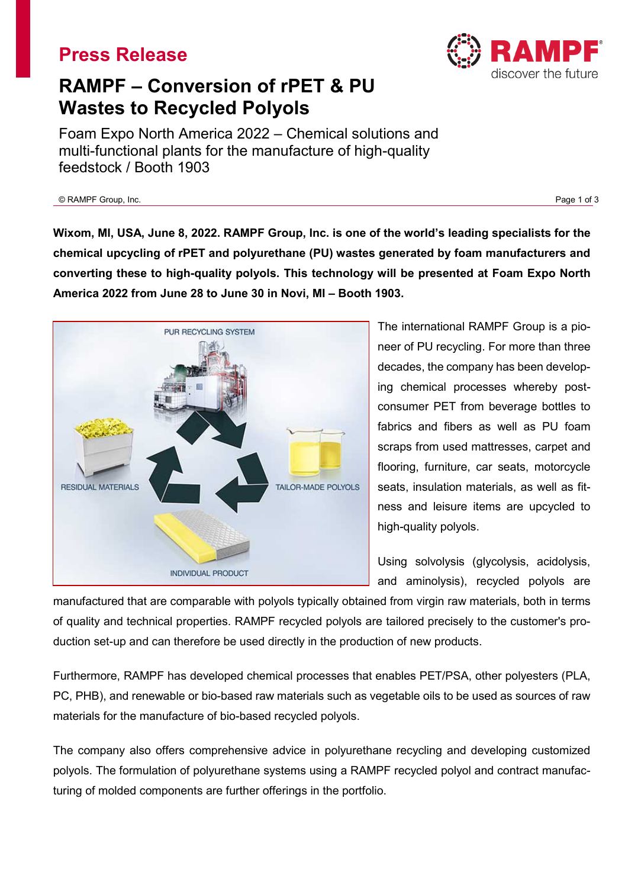# **Press Release**



# **RAMPF – Conversion of rPET & PU Wastes to Recycled Polyols**

Foam Expo North America 2022 – Chemical solutions and multi-functional plants for the manufacture of high-quality feedstock / Booth 1903

© RAMPF Group, Inc. Page 1 of 3

**Wixom, MI, USA, June 8, 2022. RAMPF Group, Inc. is one of the world's leading specialists for the chemical upcycling of rPET and polyurethane (PU) wastes generated by foam manufacturers and converting these to high-quality polyols. This technology will be presented at Foam Expo North America 2022 from June 28 to June 30 in Novi, MI – Booth 1903.**



The international RAMPF Group is a pioneer of PU recycling. For more than three decades, the company has been developing chemical processes whereby postconsumer PET from beverage bottles to fabrics and fibers as well as PU foam scraps from used mattresses, carpet and flooring, furniture, car seats, motorcycle seats, insulation materials, as well as fitness and leisure items are upcycled to high-quality polyols.

Using solvolysis (glycolysis, acidolysis, and aminolysis), recycled polyols are

manufactured that are comparable with polyols typically obtained from virgin raw materials, both in terms of quality and technical properties. RAMPF recycled polyols are tailored precisely to the customer's production set-up and can therefore be used directly in the production of new products.

Furthermore, RAMPF has developed chemical processes that enables PET/PSA, other polyesters (PLA, PC, PHB), and renewable or bio-based raw materials such as vegetable oils to be used as sources of raw materials for the manufacture of bio-based recycled polyols.

The company also offers comprehensive advice in polyurethane recycling and developing customized polyols. The formulation of polyurethane systems using a RAMPF recycled polyol and contract manufacturing of molded components are further offerings in the portfolio.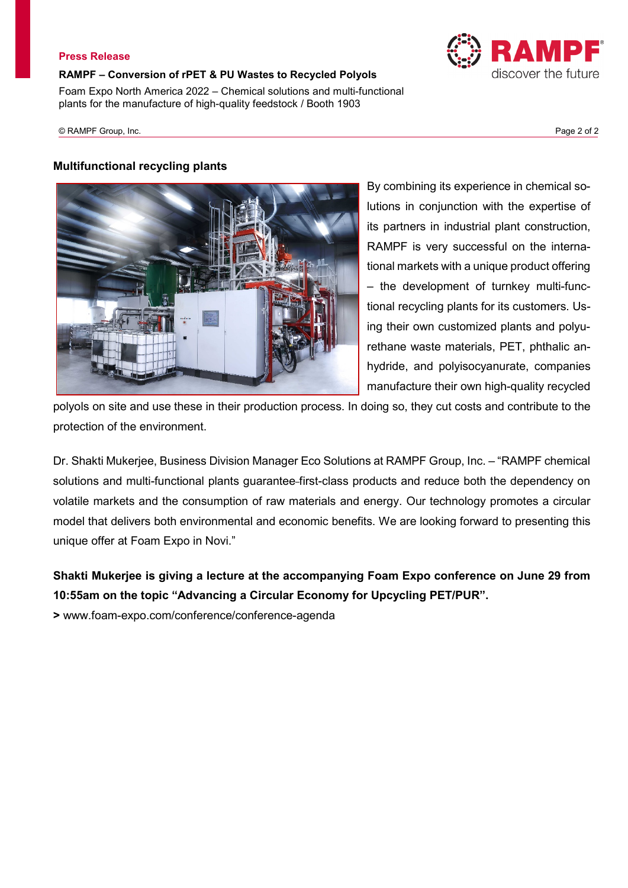#### **Press Release**

**RAMPF – Conversion of rPET & PU Wastes to Recycled Polyols** Foam Expo North America 2022 – Chemical solutions and multi-functional plants for the manufacture of high-quality feedstock / Booth 1903

© RAMPF Group, Inc. Page 2 of 2

### **Multifunctional recycling plants**

By combining its experience in chemical solutions in conjunction with the expertise of its partners in industrial plant construction, RAMPF is very successful on the international markets with a unique product offering – the development of turnkey multi-functional recycling plants for its customers. Using their own customized plants and polyurethane waste materials, PET, phthalic anhydride, and polyisocyanurate, companies manufacture their own high-quality recycled

polyols on site and use these in their production process. In doing so, they cut costs and contribute to the protection of the environment.

Dr. Shakti Mukerjee, Business Division Manager Eco Solutions at RAMPF Group, Inc. – "RAMPF chemical solutions and multi-functional plants guarantee first-class products and reduce both the dependency on volatile markets and the consumption of raw materials and energy. Our technology promotes a circular model that delivers both environmental and economic benefits. We are looking forward to presenting this unique offer at Foam Expo in Novi."

## **Shakti Mukerjee is giving a lecture at the accompanying Foam Expo conference on June 29 from 10:55am on the topic "Advancing a Circular Economy for Upcycling PET/PUR".**

**>** www.foam-expo.com/conference/conference-agenda